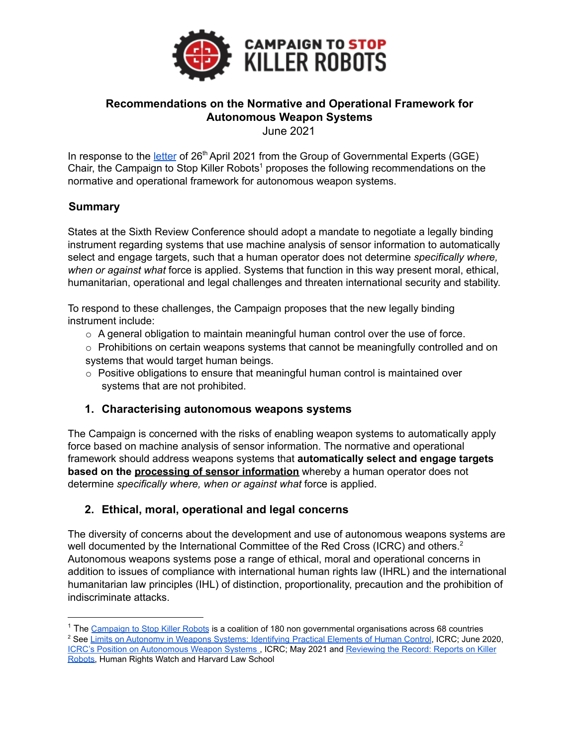

# **Recommendations on the Normative and Operational Framework for Autonomous Weapon Systems**

June 2021

In response to the *[letter](https://reachingcriticalwill.org/images/documents/Disarmament-fora/ccw/2021/gge/documents/chair-letter.pdf)* of 26<sup>th</sup> April 2021 from the Group of Governmental Experts (GGE) Chair, the Campaign to Stop Killer Robots<sup>1</sup> proposes the following recommendations on the normative and operational framework for autonomous weapon systems.

# **Summary**

States at the Sixth Review Conference should adopt a mandate to negotiate a legally binding instrument regarding systems that use machine analysis of sensor information to automatically select and engage targets, such that a human operator does not determine *specifically where, when or against what* force is applied. Systems that function in this way present moral, ethical, humanitarian, operational and legal challenges and threaten international security and stability.

To respond to these challenges, the Campaign proposes that the new legally binding instrument include:

- $\circ$  A general obligation to maintain meaningful human control over the use of force.
- $\circ$  Prohibitions on certain weapons systems that cannot be meaningfully controlled and on systems that would target human beings.
- $\circ$  Positive obligations to ensure that meaningful human control is maintained over systems that are not prohibited.

### **1. Characterising autonomous weapons systems**

The Campaign is concerned with the risks of enabling weapon systems to automatically apply force based on machine analysis of sensor information. The normative and operational framework should address weapons systems that **automatically select and engage targets based on the processing of sensor information** whereby a human operator does not determine *specifically where, when or against what* force is applied.

# **2. Ethical, moral, operational and legal concerns**

The diversity of concerns about the development and use of autonomous weapons systems are well documented by the International Committee of the Red Cross (ICRC) and others.<sup>2</sup> Autonomous weapons systems pose a range of ethical, moral and operational concerns in addition to issues of compliance with international human rights law (IHRL) and the international humanitarian law principles (IHL) of distinction, proportionality, precaution and the prohibition of indiscriminate attacks.

<sup>1</sup> The [Campaign to Stop Killer Robots](https://www.stopkillerrobots.org/) is a coalition of 180 non governmental organisations across 68 countries

<sup>&</sup>lt;sup>2</sup> See [Limits on Autonomy in Weapons Systems: Identifying](https://www.icrc.org/en/document/limits-autonomous-weapons#:~:text=Limits%20on%20Autonomy%20in%20Weapon%20Systems%3A%20Identifying%20Practical%20Elements%20of,legal%2C%20ethical%20and%20operational%20concerns.) Practical Elements of Human Control, ICRC; June 2020, [ICRC's Position on Autonomous Weapon Systems](https://www.icrc.org/en/document/icrc-position-autonomous-weapon-systems) , ICRC; May 2021 and [Reviewing the Record: Reports on Killer](http://hrp.law.harvard.edu/wp-content/uploads/2018/08/Killer_Robots_Handout.pdf) [Robots,](http://hrp.law.harvard.edu/wp-content/uploads/2018/08/Killer_Robots_Handout.pdf) Human Rights Watch and Harvard Law School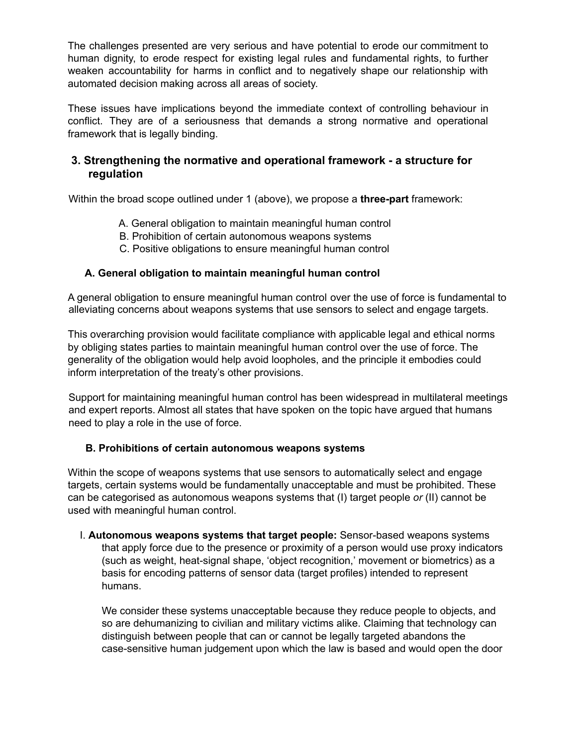The challenges presented are very serious and have potential to erode our commitment to human dignity, to erode respect for existing legal rules and fundamental rights, to further weaken accountability for harms in conflict and to negatively shape our relationship with automated decision making across all areas of society.

These issues have implications beyond the immediate context of controlling behaviour in conflict. They are of a seriousness that demands a strong normative and operational framework that is legally binding.

# **3. Strengthening the normative and operational framework - a structure for regulation**

Within the broad scope outlined under 1 (above), we propose a **three-part** framework:

- A. General obligation to maintain meaningful human control
- B. Prohibition of certain autonomous weapons systems
- C. Positive obligations to ensure meaningful human control

#### **A. General obligation to maintain meaningful human control**

A general obligation to ensure meaningful human control over the use of force is fundamental to alleviating concerns about weapons systems that use sensors to select and engage targets.

This overarching provision would facilitate compliance with applicable legal and ethical norms by obliging states parties to maintain meaningful human control over the use of force. The generality of the obligation would help avoid loopholes, and the principle it embodies could inform interpretation of the treaty's other provisions.

Support for maintaining meaningful human control has been widespread in multilateral meetings and expert reports. Almost all states that have spoken on the topic have argued that humans need to play a role in the use of force.

#### **B. Prohibitions of certain autonomous weapons systems**

Within the scope of weapons systems that use sensors to automatically select and engage targets, certain systems would be fundamentally unacceptable and must be prohibited. These can be categorised as autonomous weapons systems that (I) target people *or* (II) cannot be used with meaningful human control.

I. **Autonomous weapons systems that target people:** Sensor-based weapons systems that apply force due to the presence or proximity of a person would use proxy indicators (such as weight, heat-signal shape, 'object recognition,' movement or biometrics) as a basis for encoding patterns of sensor data (target profiles) intended to represent humans.

We consider these systems unacceptable because they reduce people to objects, and so are dehumanizing to civilian and military victims alike. Claiming that technology can distinguish between people that can or cannot be legally targeted abandons the case-sensitive human judgement upon which the law is based and would open the door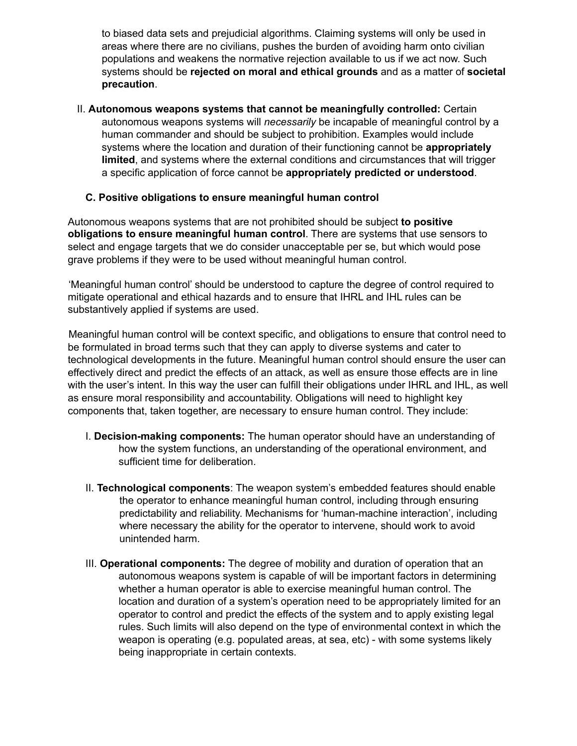to biased data sets and prejudicial algorithms. Claiming systems will only be used in areas where there are no civilians, pushes the burden of avoiding harm onto civilian populations and weakens the normative rejection available to us if we act now. Such systems should be **rejected on moral and ethical grounds** and as a matter of **societal precaution**.

II. **Autonomous weapons systems that cannot be meaningfully controlled:** Certain autonomous weapons systems will *necessarily* be incapable of meaningful control by a human commander and should be subject to prohibition. Examples would include systems where the location and duration of their functioning cannot be **appropriately limited**, and systems where the external conditions and circumstances that will trigger a specific application of force cannot be **appropriately predicted or understood**.

#### **C. Positive obligations to ensure meaningful human control**

Autonomous weapons systems that are not prohibited should be subject **to positive obligations to ensure meaningful human control**. There are systems that use sensors to select and engage targets that we do consider unacceptable per se, but which would pose grave problems if they were to be used without meaningful human control.

'Meaningful human control' should be understood to capture the degree of control required to mitigate operational and ethical hazards and to ensure that IHRL and IHL rules can be substantively applied if systems are used.

Meaningful human control will be context specific, and obligations to ensure that control need to be formulated in broad terms such that they can apply to diverse systems and cater to technological developments in the future. Meaningful human control should ensure the user can effectively direct and predict the effects of an attack, as well as ensure those effects are in line with the user's intent. In this way the user can fulfill their obligations under IHRL and IHL, as well as ensure moral responsibility and accountability. Obligations will need to highlight key components that, taken together, are necessary to ensure human control. They include:

- I. **Decision-making components:** The human operator should have an understanding of how the system functions, an understanding of the operational environment, and sufficient time for deliberation.
- II. **Technological components**: The weapon system's embedded features should enable the operator to enhance meaningful human control, including through ensuring predictability and reliability. Mechanisms for 'human-machine interaction', including where necessary the ability for the operator to intervene, should work to avoid unintended harm.
- III. **Operational components:** The degree of mobility and duration of operation that an autonomous weapons system is capable of will be important factors in determining whether a human operator is able to exercise meaningful human control. The location and duration of a system's operation need to be appropriately limited for an operator to control and predict the effects of the system and to apply existing legal rules. Such limits will also depend on the type of environmental context in which the weapon is operating (e.g. populated areas, at sea, etc) - with some systems likely being inappropriate in certain contexts.